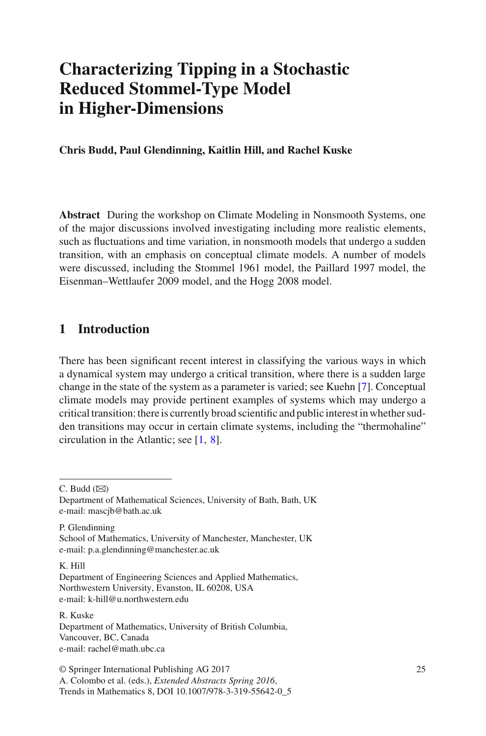# **Characterizing Tipping in a Stochastic Reduced Stommel-Type Model in Higher-Dimensions**

**Chris Budd, Paul Glendinning, Kaitlin Hill, and Rachel Kuske**

**Abstract** During the workshop on Climate Modeling in Nonsmooth Systems, one of the major discussions involved investigating including more realistic elements, such as fluctuations and time variation, in nonsmooth models that undergo a sudden transition, with an emphasis on conceptual climate models. A number of models were discussed, including the Stommel 1961 model, the Paillard 1997 model, the Eisenman–Wettlaufer 2009 model, and the Hogg 2008 model.

## **1 Introduction**

There has been significant recent interest in classifying the various ways in which a dynamical system may undergo a critical transition, where there is a sudden large change in the state of the system as a parameter is varied; see Kuehn [7]. Conceptual climate models may provide pertinent examples of systems which may undergo a critical transition: there is currently broad scientific and public interest in whether sudden transitions may occur in certain climate systems, including the "thermohaline" circulation in the Atlantic; see [1, 8].

 $C.$  Budd  $(\boxtimes)$ 

P. Glendinning School of Mathematics, University of Manchester, Manchester, UK e-mail: p.a.glendinning@manchester.ac.uk

K. Hill

Department of Mathematical Sciences, University of Bath, Bath, UK e-mail: mascjb@bath.ac.uk

Department of Engineering Sciences and Applied Mathematics, Northwestern University, Evanston, IL 60208, USA e-mail: k-hill@u.northwestern.edu

R. Kuske Department of Mathematics, University of British Columbia, Vancouver, BC, Canada e-mail: rachel@math.ubc.ca

<sup>©</sup> Springer International Publishing AG 2017 A. Colombo et al. (eds.), *Extended Abstracts Spring 2016*, Trends in Mathematics 8, DOI 10.1007/978-3-319-55642-0\_5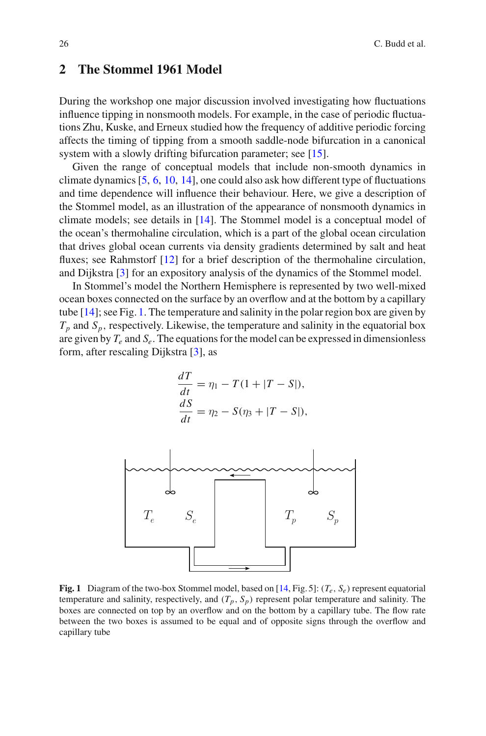### **2 The Stommel 1961 Model**

During the workshop one major discussion involved investigating how fluctuations influence tipping in nonsmooth models. For example, in the case of periodic fluctuations Zhu, Kuske, and Erneux studied how the frequency of additive periodic forcing affects the timing of tipping from a smooth saddle-node bifurcation in a canonical system with a slowly drifting bifurcation parameter; see [15].

Given the range of conceptual models that include non-smooth dynamics in climate dynamics [5, 6, 10, 14], one could also ask how different type of fluctuations and time dependence will influence their behaviour. Here, we give a description of the Stommel model, as an illustration of the appearance of nonsmooth dynamics in climate models; see details in [14]. The Stommel model is a conceptual model of the ocean's thermohaline circulation, which is a part of the global ocean circulation that drives global ocean currents via density gradients determined by salt and heat fluxes; see Rahmstorf [12] for a brief description of the thermohaline circulation, and Dijkstra [3] for an expository analysis of the dynamics of the Stommel model.

In Stommel's model the Northern Hemisphere is represented by two well-mixed ocean boxes connected on the surface by an overflow and at the bottom by a capillary tube [14]; see Fig. 1. The temperature and salinity in the polar region box are given by  $T_p$  and  $S_p$ , respectively. Likewise, the temperature and salinity in the equatorial box are given by  $T_e$  and  $S_e$ . The equations for the model can be expressed in dimensionless form, after rescaling Dijkstra [3], as

$$
\frac{dT}{dt} = \eta_1 - T(1 + |T - S|),
$$
  
\n
$$
\frac{dS}{dt} = \eta_2 - S(\eta_3 + |T - S|),
$$



**Fig. 1** Diagram of the two-box Stommel model, based on [14, Fig. 5]:  $(T_e, S_e)$  represent equatorial temperature and salinity, respectively, and  $(T_p, S_p)$  represent polar temperature and salinity. The boxes are connected on top by an overflow and on the bottom by a capillary tube. The flow rate between the two boxes is assumed to be equal and of opposite signs through the overflow and capillary tube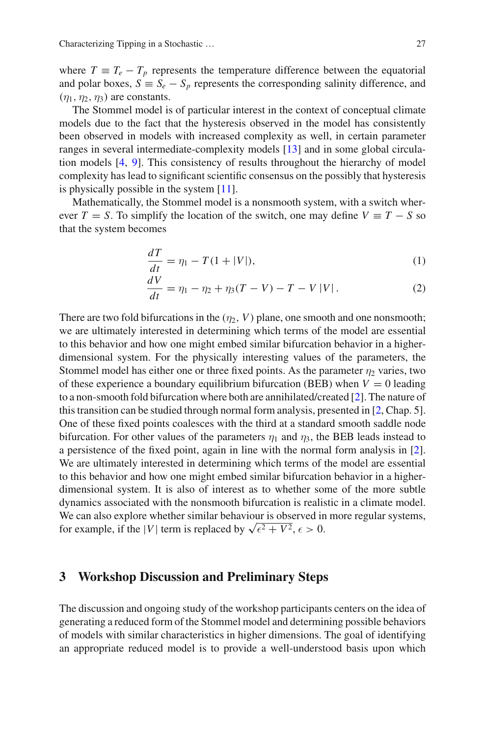where  $T \equiv T_e - T_p$  represents the temperature difference between the equatorial and polar boxes,  $S \equiv S_e - S_p$  represents the corresponding salinity difference, and  $(n_1, n_2, n_3)$  are constants.

The Stommel model is of particular interest in the context of conceptual climate models due to the fact that the hysteresis observed in the model has consistently been observed in models with increased complexity as well, in certain parameter ranges in several intermediate-complexity models [13] and in some global circulation models [4, 9]. This consistency of results throughout the hierarchy of model complexity has lead to significant scientific consensus on the possibly that hysteresis is physically possible in the system [11].

Mathematically, the Stommel model is a nonsmooth system, with a switch wherever  $T = S$ . To simplify the location of the switch, one may define  $V = T - S$  so that the system becomes

$$
\frac{dT}{dt} = \eta_1 - T(1 + |V|),\tag{1}
$$

$$
\frac{dV}{dt} = \eta_1 - \eta_2 + \eta_3 (T - V) - T - V |V|.
$$
 (2)

There are two fold bifurcations in the  $(\eta_2, V)$  plane, one smooth and one nonsmooth; we are ultimately interested in determining which terms of the model are essential to this behavior and how one might embed similar bifurcation behavior in a higherdimensional system. For the physically interesting values of the parameters, the Stommel model has either one or three fixed points. As the parameter  $\eta_2$  varies, two of these experience a boundary equilibrium bifurcation (BEB) when  $V = 0$  leading to a non-smooth fold bifurcation where both are annihilated/created [2]. The nature of this transition can be studied through normal form analysis, presented in [2, Chap. 5]. One of these fixed points coalesces with the third at a standard smooth saddle node bifurcation. For other values of the parameters  $\eta_1$  and  $\eta_3$ , the BEB leads instead to a persistence of the fixed point, again in line with the normal form analysis in [2]. We are ultimately interested in determining which terms of the model are essential to this behavior and how one might embed similar bifurcation behavior in a higherdimensional system. It is also of interest as to whether some of the more subtle dynamics associated with the nonsmooth bifurcation is realistic in a climate model. We can also explore whether similar behaviour is observed in more regular systems, for example, if the |*V*| term is replaced by  $\sqrt{\epsilon^2 + V^2}$ ,  $\epsilon > 0$ .

#### **3 Workshop Discussion and Preliminary Steps**

The discussion and ongoing study of the workshop participants centers on the idea of generating a reduced form of the Stommel model and determining possible behaviors of models with similar characteristics in higher dimensions. The goal of identifying an appropriate reduced model is to provide a well-understood basis upon which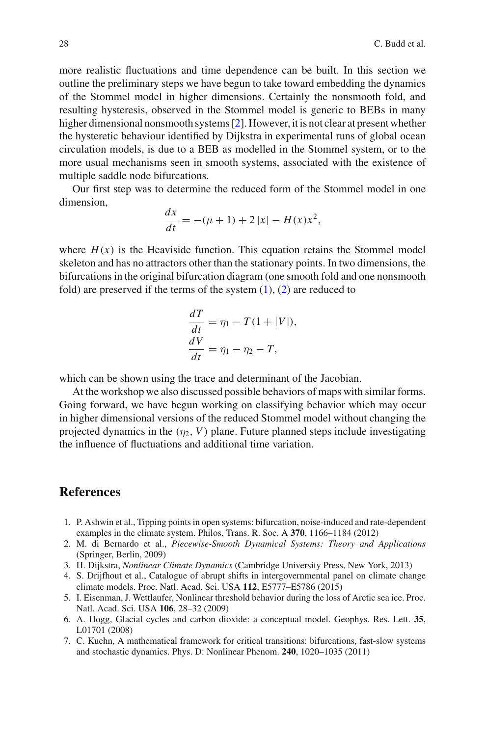more realistic fluctuations and time dependence can be built. In this section we outline the preliminary steps we have begun to take toward embedding the dynamics of the Stommel model in higher dimensions. Certainly the nonsmooth fold, and resulting hysteresis, observed in the Stommel model is generic to BEBs in many higher dimensional nonsmooth systems [2]. However, it is not clear at present whether the hysteretic behaviour identified by Dijkstra in experimental runs of global ocean circulation models, is due to a BEB as modelled in the Stommel system, or to the more usual mechanisms seen in smooth systems, associated with the existence of multiple saddle node bifurcations.

Our first step was to determine the reduced form of the Stommel model in one dimension,

$$
\frac{dx}{dt} = -(\mu + 1) + 2|x| - H(x)x^2,
$$

where  $H(x)$  is the Heaviside function. This equation retains the Stommel model skeleton and has no attractors other than the stationary points. In two dimensions, the bifurcations in the original bifurcation diagram (one smooth fold and one nonsmooth fold) are preserved if the terms of the system  $(1)$ ,  $(2)$  are reduced to

$$
\frac{dT}{dt} = \eta_1 - T(1 + |V|),
$$
  

$$
\frac{dV}{dt} = \eta_1 - \eta_2 - T,
$$

which can be shown using the trace and determinant of the Jacobian.

At the workshop we also discussed possible behaviors of maps with similar forms. Going forward, we have begun working on classifying behavior which may occur in higher dimensional versions of the reduced Stommel model without changing the projected dynamics in the  $(\eta_2, V)$  plane. Future planned steps include investigating the influence of fluctuations and additional time variation.

### **References**

- 1. P. Ashwin et al., Tipping points in open systems: bifurcation, noise-induced and rate-dependent examples in the climate system. Philos. Trans. R. Soc. A **370**, 1166–1184 (2012)
- 2. M. di Bernardo et al., *Piecewise-Smooth Dynamical Systems: Theory and Applications* (Springer, Berlin, 2009)
- 3. H. Dijkstra, *Nonlinear Climate Dynamics* (Cambridge University Press, New York, 2013)
- 4. S. Drijfhout et al., Catalogue of abrupt shifts in intergovernmental panel on climate change climate models. Proc. Natl. Acad. Sci. USA **112**, E5777–E5786 (2015)
- 5. I. Eisenman, J. Wettlaufer, Nonlinear threshold behavior during the loss of Arctic sea ice. Proc. Natl. Acad. Sci. USA **106**, 28–32 (2009)
- 6. A. Hogg, Glacial cycles and carbon dioxide: a conceptual model. Geophys. Res. Lett. **35**, L01701 (2008)
- 7. C. Kuehn, A mathematical framework for critical transitions: bifurcations, fast-slow systems and stochastic dynamics. Phys. D: Nonlinear Phenom. **240**, 1020–1035 (2011)